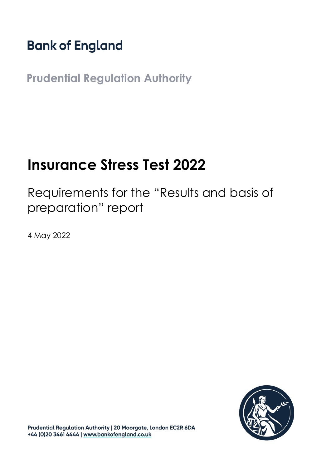# **Bank of England**

**Prudential Regulation Authority**

# **Insurance Stress Test 2022**

Requirements for the "Results and basis of preparation" report

4 May 2022



Prudential Regulation Authority | 20 Moorgate, London EC2R 6DA +44 (0)20 3461 4444 | www.bankofengland.co.uk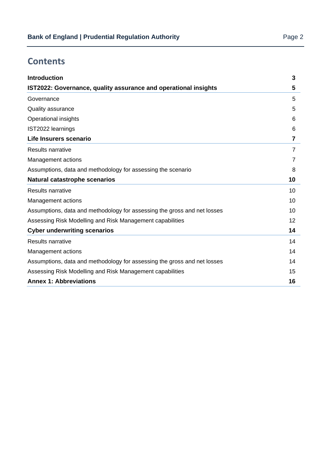## **Contents**

| 5<br>5<br>5<br>6<br>6<br>7<br>7<br>7<br>8<br>10<br>10<br>10<br>10<br>$12 \,$<br>14<br>14<br>14<br>14<br>15<br><b>Annex 1: Abbreviations</b><br>16 | <b>Introduction</b>                                                      | 3 |
|---------------------------------------------------------------------------------------------------------------------------------------------------|--------------------------------------------------------------------------|---|
|                                                                                                                                                   | IST2022: Governance, quality assurance and operational insights          |   |
|                                                                                                                                                   | Governance                                                               |   |
|                                                                                                                                                   | Quality assurance                                                        |   |
|                                                                                                                                                   | Operational insights                                                     |   |
|                                                                                                                                                   | IST2022 learnings                                                        |   |
|                                                                                                                                                   | Life Insurers scenario                                                   |   |
|                                                                                                                                                   | Results narrative                                                        |   |
|                                                                                                                                                   | Management actions                                                       |   |
|                                                                                                                                                   | Assumptions, data and methodology for assessing the scenario             |   |
|                                                                                                                                                   | <b>Natural catastrophe scenarios</b>                                     |   |
|                                                                                                                                                   | Results narrative                                                        |   |
|                                                                                                                                                   | Management actions                                                       |   |
|                                                                                                                                                   | Assumptions, data and methodology for assessing the gross and net losses |   |
|                                                                                                                                                   | Assessing Risk Modelling and Risk Management capabilities                |   |
|                                                                                                                                                   | <b>Cyber underwriting scenarios</b>                                      |   |
|                                                                                                                                                   | <b>Results narrative</b>                                                 |   |
|                                                                                                                                                   | Management actions                                                       |   |
|                                                                                                                                                   | Assumptions, data and methodology for assessing the gross and net losses |   |
|                                                                                                                                                   | Assessing Risk Modelling and Risk Management capabilities                |   |
|                                                                                                                                                   |                                                                          |   |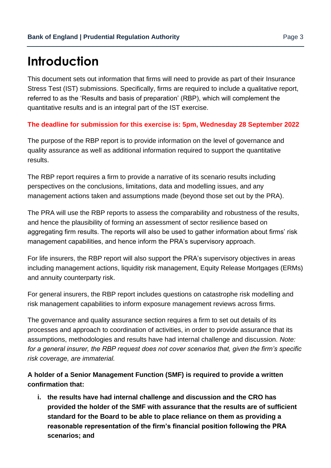# <span id="page-2-0"></span>**Introduction**

This document sets out information that firms will need to provide as part of their Insurance Stress Test (IST) submissions. Specifically, firms are required to include a qualitative report, referred to as the 'Results and basis of preparation' (RBP), which will complement the quantitative results and is an integral part of the IST exercise.

#### **The deadline for submission for this exercise is: 5pm, Wednesday 28 September 2022**

The purpose of the RBP report is to provide information on the level of governance and quality assurance as well as additional information required to support the quantitative results.

The RBP report requires a firm to provide a narrative of its scenario results including perspectives on the conclusions, limitations, data and modelling issues, and any management actions taken and assumptions made (beyond those set out by the PRA).

The PRA will use the RBP reports to assess the comparability and robustness of the results, and hence the plausibility of forming an assessment of sector resilience based on aggregating firm results. The reports will also be used to gather information about firms' risk management capabilities, and hence inform the PRA's supervisory approach.

For life insurers, the RBP report will also support the PRA's supervisory objectives in areas including management actions, liquidity risk management, Equity Release Mortgages (ERMs) and annuity counterparty risk.

For general insurers, the RBP report includes questions on catastrophe risk modelling and risk management capabilities to inform exposure management reviews across firms.

The governance and quality assurance section requires a firm to set out details of its processes and approach to coordination of activities, in order to provide assurance that its assumptions, methodologies and results have had internal challenge and discussion. *Note: for a general insurer, the RBP request does not cover scenarios that, given the firm's specific risk coverage, are immaterial.*

#### **A holder of a Senior Management Function (SMF) is required to provide a written confirmation that:**

**i. the results have had internal challenge and discussion and the CRO has provided the holder of the SMF with assurance that the results are of sufficient standard for the Board to be able to place reliance on them as providing a reasonable representation of the firm's financial position following the PRA scenarios; and**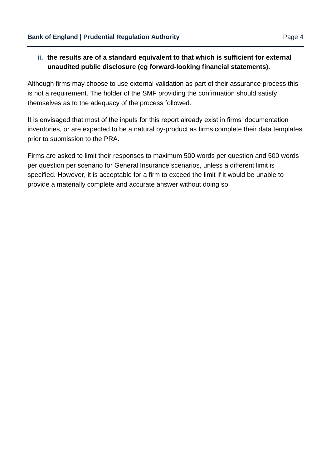#### **ii. the results are of a standard equivalent to that which is sufficient for external unaudited public disclosure (eg forward-looking financial statements).**

Although firms may choose to use external validation as part of their assurance process this is not a requirement. The holder of the SMF providing the confirmation should satisfy themselves as to the adequacy of the process followed.

It is envisaged that most of the inputs for this report already exist in firms' documentation inventories, or are expected to be a natural by-product as firms complete their data templates prior to submission to the PRA.

Firms are asked to limit their responses to maximum 500 words per question and 500 words per question per scenario for General Insurance scenarios, unless a different limit is specified. However, it is acceptable for a firm to exceed the limit if it would be unable to provide a materially complete and accurate answer without doing so.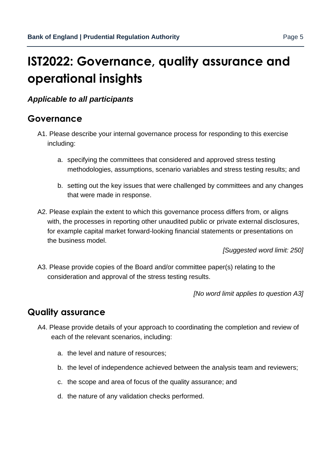# <span id="page-4-0"></span>**IST2022: Governance, quality assurance and operational insights**

*Applicable to all participants*

### <span id="page-4-1"></span>**Governance**

- A1. Please describe your internal governance process for responding to this exercise including:
	- a. specifying the committees that considered and approved stress testing methodologies, assumptions, scenario variables and stress testing results; and
	- b. setting out the key issues that were challenged by committees and any changes that were made in response.
- A2. Please explain the extent to which this governance process differs from, or aligns with, the processes in reporting other unaudited public or private external disclosures, for example capital market forward-looking financial statements or presentations on the business model.

*[Suggested word limit: 250]* 

A3. Please provide copies of the Board and/or committee paper(s) relating to the consideration and approval of the stress testing results.

*[No word limit applies to question A3]* 

## <span id="page-4-2"></span>**Quality assurance**

- A4. Please provide details of your approach to coordinating the completion and review of each of the relevant scenarios, including:
	- a. the level and nature of resources;
	- b. the level of independence achieved between the analysis team and reviewers;
	- c. the scope and area of focus of the quality assurance; and
	- d. the nature of any validation checks performed.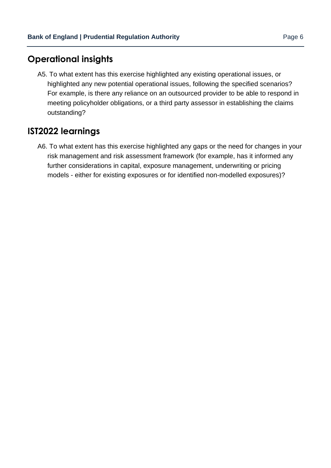## <span id="page-5-0"></span>**Operational insights**

A5. To what extent has this exercise highlighted any existing operational issues, or highlighted any new potential operational issues, following the specified scenarios? For example, is there any reliance on an outsourced provider to be able to respond in meeting policyholder obligations, or a third party assessor in establishing the claims outstanding?

## <span id="page-5-1"></span>**IST2022 learnings**

A6. To what extent has this exercise highlighted any gaps or the need for changes in your risk management and risk assessment framework (for example, has it informed any further considerations in capital, exposure management, underwriting or pricing models - either for existing exposures or for identified non-modelled exposures)?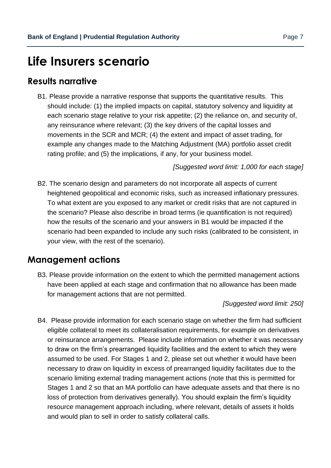## <span id="page-6-0"></span>**Life Insurers scenario**

### <span id="page-6-1"></span>**Results narrative**

B1. Please provide a narrative response that supports the quantitative results. This should include: (1) the implied impacts on capital, statutory solvency and liquidity at each scenario stage relative to your risk appetite; (2) the reliance on, and security of, any reinsurance where relevant; (3) the key drivers of the capital losses and movements in the SCR and MCR; (4) the extent and impact of asset trading, for example any changes made to the Matching Adjustment (MA) portfolio asset credit rating profile; and (5) the implications, if any, for your business model.

*[Suggested word limit: 1,000 for each stage]* 

B2. The scenario design and parameters do not incorporate all aspects of current heightened geopolitical and economic risks, such as increased inflationary pressures. To what extent are you exposed to any market or credit risks that are not captured in the scenario? Please also describe in broad terms (ie quantification is not required) how the results of the scenario and your answers in B1 would be impacted if the scenario had been expanded to include any such risks (calibrated to be consistent, in your view, with the rest of the scenario).

### <span id="page-6-2"></span>**Management actions**

B3. Please provide information on the extent to which the permitted management actions have been applied at each stage and confirmation that no allowance has been made for management actions that are not permitted.

#### *[Suggested word limit: 250]*

B4. Please provide information for each scenario stage on whether the firm had sufficient eligible collateral to meet its collateralisation requirements, for example on derivatives or reinsurance arrangements. Please include information on whether it was necessary to draw on the firm's prearranged liquidity facilities and the extent to which they were assumed to be used. For Stages 1 and 2, please set out whether it would have been necessary to draw on liquidity in excess of prearranged liquidity facilitates due to the scenario limiting external trading management actions (note that this is permitted for Stages 1 and 2 so that an MA portfolio can have adequate assets and that there is no loss of protection from derivatives generally). You should explain the firm's liquidity resource management approach including, where relevant, details of assets it holds and would plan to sell in order to satisfy collateral calls.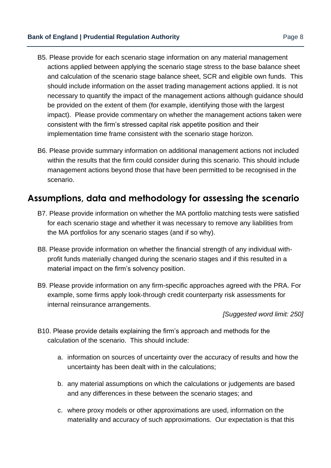- B5. Please provide for each scenario stage information on any material management actions applied between applying the scenario stage stress to the base balance sheet and calculation of the scenario stage balance sheet, SCR and eligible own funds. This should include information on the asset trading management actions applied. It is not necessary to quantify the impact of the management actions although guidance should be provided on the extent of them (for example, identifying those with the largest impact). Please provide commentary on whether the management actions taken were consistent with the firm's stressed capital risk appetite position and their implementation time frame consistent with the scenario stage horizon.
- B6. Please provide summary information on additional management actions not included within the results that the firm could consider during this scenario. This should include management actions beyond those that have been permitted to be recognised in the scenario.

## <span id="page-7-0"></span>**Assumptions, data and methodology for assessing the scenario**

- B7. Please provide information on whether the MA portfolio matching tests were satisfied for each scenario stage and whether it was necessary to remove any liabilities from the MA portfolios for any scenario stages (and if so why).
- B8. Please provide information on whether the financial strength of any individual withprofit funds materially changed during the scenario stages and if this resulted in a material impact on the firm's solvency position.
- B9. Please provide information on any firm-specific approaches agreed with the PRA. For example, some firms apply look-through credit counterparty risk assessments for internal reinsurance arrangements.

*[Suggested word limit: 250]* 

- B10. Please provide details explaining the firm's approach and methods for the calculation of the scenario. This should include:
	- a. information on sources of uncertainty over the accuracy of results and how the uncertainty has been dealt with in the calculations;
	- b. any material assumptions on which the calculations or judgements are based and any differences in these between the scenario stages; and
	- c. where proxy models or other approximations are used, information on the materiality and accuracy of such approximations. Our expectation is that this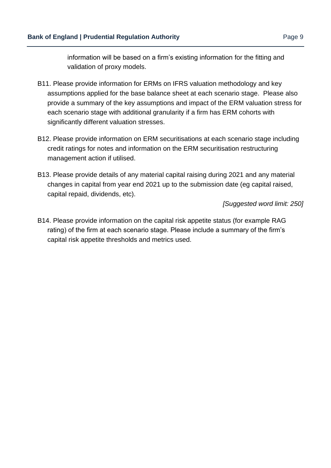information will be based on a firm's existing information for the fitting and validation of proxy models.

- B11. Please provide information for ERMs on IFRS valuation methodology and key assumptions applied for the base balance sheet at each scenario stage. Please also provide a summary of the key assumptions and impact of the ERM valuation stress for each scenario stage with additional granularity if a firm has ERM cohorts with significantly different valuation stresses.
- B12. Please provide information on ERM securitisations at each scenario stage including credit ratings for notes and information on the ERM securitisation restructuring management action if utilised.
- B13. Please provide details of any material capital raising during 2021 and any material changes in capital from year end 2021 up to the submission date (eg capital raised, capital repaid, dividends, etc).

#### *[Suggested word limit: 250]*

B14. Please provide information on the capital risk appetite status (for example RAG rating) of the firm at each scenario stage. Please include a summary of the firm's capital risk appetite thresholds and metrics used.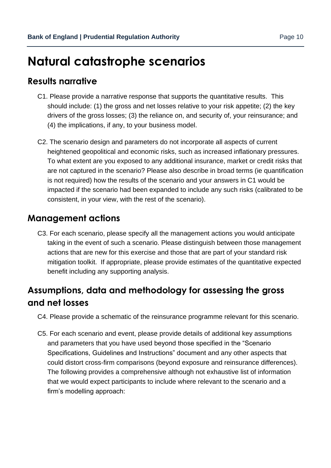# <span id="page-9-0"></span>**Natural catastrophe scenarios**

### <span id="page-9-1"></span>**Results narrative**

- C1. Please provide a narrative response that supports the quantitative results. This should include: (1) the gross and net losses relative to your risk appetite; (2) the key drivers of the gross losses; (3) the reliance on, and security of, your reinsurance; and (4) the implications, if any, to your business model.
- C2. The scenario design and parameters do not incorporate all aspects of current heightened geopolitical and economic risks, such as increased inflationary pressures. To what extent are you exposed to any additional insurance, market or credit risks that are not captured in the scenario? Please also describe in broad terms (ie quantification is not required) how the results of the scenario and your answers in C1 would be impacted if the scenario had been expanded to include any such risks (calibrated to be consistent, in your view, with the rest of the scenario).

### <span id="page-9-2"></span>**Management actions**

C3. For each scenario, please specify all the management actions you would anticipate taking in the event of such a scenario. Please distinguish between those management actions that are new for this exercise and those that are part of your standard risk mitigation toolkit. If appropriate, please provide estimates of the quantitative expected benefit including any supporting analysis.

## <span id="page-9-3"></span>**Assumptions, data and methodology for assessing the gross and net losses**

- C4. Please provide a schematic of the reinsurance programme relevant for this scenario.
- C5. For each scenario and event, please provide details of additional key assumptions and parameters that you have used beyond those specified in the "Scenario Specifications, Guidelines and Instructions" document and any other aspects that could distort cross-firm comparisons (beyond exposure and reinsurance differences). The following provides a comprehensive although not exhaustive list of information that we would expect participants to include where relevant to the scenario and a firm's modelling approach: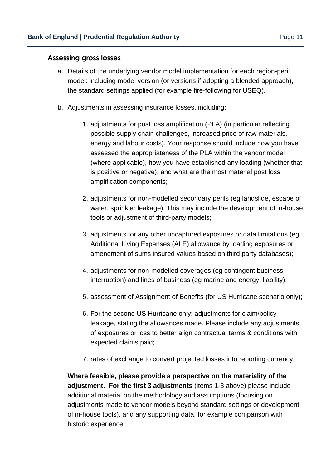#### **Assessing gross losses**

- a. Details of the underlying vendor model implementation for each region-peril model: including model version (or versions if adopting a blended approach), the standard settings applied (for example fire-following for USEQ).
- b. Adjustments in assessing insurance losses, including:
	- 1. adjustments for post loss amplification (PLA) (in particular reflecting possible supply chain challenges, increased price of raw materials, energy and labour costs). Your response should include how you have assessed the appropriateness of the PLA within the vendor model (where applicable), how you have established any loading (whether that is positive or negative), and what are the most material post loss amplification components;
	- 2. adjustments for non-modelled secondary perils (eg landslide, escape of water, sprinkler leakage). This may include the development of in-house tools or adjustment of third-party models;
	- 3. adjustments for any other uncaptured exposures or data limitations (eg Additional Living Expenses (ALE) allowance by loading exposures or amendment of sums insured values based on third party databases);
	- 4. adjustments for non-modelled coverages (eg contingent business interruption) and lines of business (eg marine and energy, liability);
	- 5. assessment of Assignment of Benefits (for US Hurricane scenario only);
	- 6. For the second US Hurricane only: adjustments for claim/policy leakage, stating the allowances made. Please include any adjustments of exposures or loss to better align contractual terms & conditions with expected claims paid;
	- 7. rates of exchange to convert projected losses into reporting currency.

**Where feasible, please provide a perspective on the materiality of the adjustment. For the first 3 adjustments** (items 1-3 above) please include additional material on the methodology and assumptions (focusing on adjustments made to vendor models beyond standard settings or development of in-house tools), and any supporting data, for example comparison with historic experience.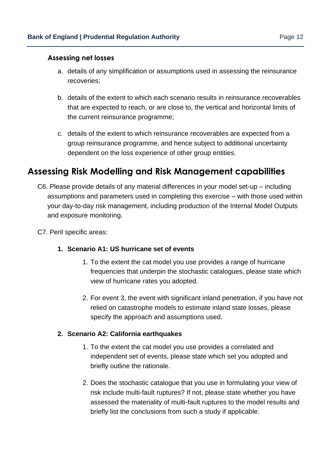#### **Assessing net losses**

- a. details of any simplification or assumptions used in assessing the reinsurance recoveries;
- b. details of the extent to which each scenario results in reinsurance recoverables that are expected to reach, or are close to, the vertical and horizontal limits of the current reinsurance programme;
- c. details of the extent to which reinsurance recoverables are expected from a group reinsurance programme, and hence subject to additional uncertainty dependent on the loss experience of other group entities.

### <span id="page-11-0"></span>**Assessing Risk Modelling and Risk Management capabilities**

- C6. Please provide details of any material differences in your model set-up including assumptions and parameters used in completing this exercise – with those used within your day-to-day risk management, including production of the Internal Model Outputs and exposure monitoring.
- C7. Peril specific areas:

#### **1. Scenario A1: US hurricane set of events**

- 1. To the extent the cat model you use provides a range of hurricane frequencies that underpin the stochastic catalogues, please state which view of hurricane rates you adopted.
- 2. For event 3, the event with significant inland penetration, if you have not relied on catastrophe models to estimate inland state losses, please specify the approach and assumptions used.

#### **2. Scenario A2: California earthquakes**

- 1. To the extent the cat model you use provides a correlated and independent set of events, please state which set you adopted and briefly outline the rationale.
- 2. Does the stochastic catalogue that you use in formulating your view of risk include multi-fault ruptures? If not, please state whether you have assessed the materiality of multi-fault ruptures to the model results and briefly list the conclusions from such a study if applicable.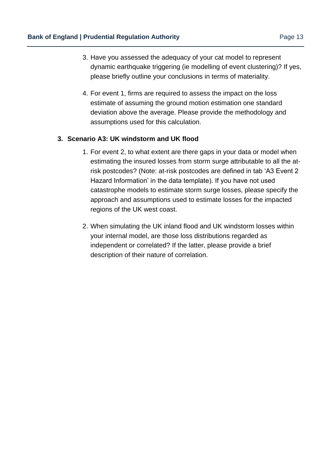- 3. Have you assessed the adequacy of your cat model to represent dynamic earthquake triggering (ie modelling of event clustering)? If yes, please briefly outline your conclusions in terms of materiality.
- 4. For event 1, firms are required to assess the impact on the loss estimate of assuming the ground motion estimation one standard deviation above the average. Please provide the methodology and assumptions used for this calculation.

#### **3. Scenario A3: UK windstorm and UK flood**

- 1. For event 2, to what extent are there gaps in your data or model when estimating the insured losses from storm surge attributable to all the atrisk postcodes? (Note: at-risk postcodes are defined in tab 'A3 Event 2 Hazard Information' in the data template). If you have not used catastrophe models to estimate storm surge losses, please specify the approach and assumptions used to estimate losses for the impacted regions of the UK west coast.
- 2. When simulating the UK inland flood and UK windstorm losses within your internal model, are those loss distributions regarded as independent or correlated? If the latter, please provide a brief description of their nature of correlation.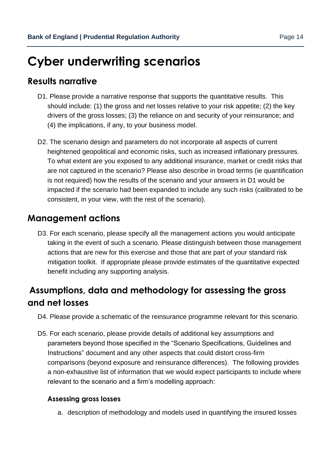# <span id="page-13-0"></span>**Cyber underwriting scenarios**

## <span id="page-13-1"></span>**Results narrative**

- D1. Please provide a narrative response that supports the quantitative results. This should include: (1) the gross and net losses relative to your risk appetite; (2) the key drivers of the gross losses; (3) the reliance on and security of your reinsurance; and (4) the implications, if any, to your business model.
- D2. The scenario design and parameters do not incorporate all aspects of current heightened geopolitical and economic risks, such as increased inflationary pressures. To what extent are you exposed to any additional insurance, market or credit risks that are not captured in the scenario? Please also describe in broad terms (ie quantification is not required) how the results of the scenario and your answers in D1 would be impacted if the scenario had been expanded to include any such risks (calibrated to be consistent, in your view, with the rest of the scenario).

## <span id="page-13-2"></span>**Management actions**

D3. For each scenario, please specify all the management actions you would anticipate taking in the event of such a scenario. Please distinguish between those management actions that are new for this exercise and those that are part of your standard risk mitigation toolkit. If appropriate please provide estimates of the quantitative expected benefit including any supporting analysis.

## <span id="page-13-3"></span>**Assumptions, data and methodology for assessing the gross and net losses**

- D4. Please provide a schematic of the reinsurance programme relevant for this scenario.
- D5. For each scenario, please provide details of additional key assumptions and parameters beyond those specified in the "Scenario Specifications, Guidelines and Instructions" document and any other aspects that could distort cross-firm comparisons (beyond exposure and reinsurance differences). The following provides a non-exhaustive list of information that we would expect participants to include where relevant to the scenario and a firm's modelling approach:

#### **Assessing gross losses**

a. description of methodology and models used in quantifying the insured losses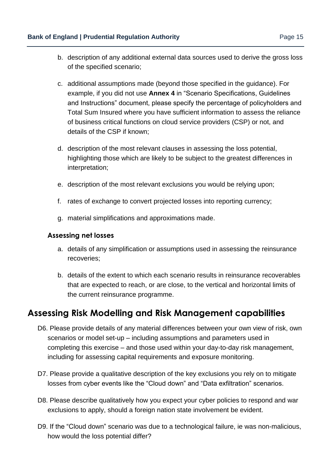- b. description of any additional external data sources used to derive the gross loss of the specified scenario;
- c. additional assumptions made (beyond those specified in the guidance). For example, if you did not use **Annex 4** in "Scenario Specifications, Guidelines and Instructions" document, please specify the percentage of policyholders and Total Sum Insured where you have sufficient information to assess the reliance of business critical functions on cloud service providers (CSP) or not, and details of the CSP if known;
- d. description of the most relevant clauses in assessing the loss potential, highlighting those which are likely to be subject to the greatest differences in interpretation;
- e. description of the most relevant exclusions you would be relying upon;
- f. rates of exchange to convert projected losses into reporting currency;
- g. material simplifications and approximations made.

#### **Assessing net losses**

- a. details of any simplification or assumptions used in assessing the reinsurance recoveries;
- b. details of the extent to which each scenario results in reinsurance recoverables that are expected to reach, or are close, to the vertical and horizontal limits of the current reinsurance programme.

### <span id="page-14-0"></span>**Assessing Risk Modelling and Risk Management capabilities**

- D6. Please provide details of any material differences between your own view of risk, own scenarios or model set-up – including assumptions and parameters used in completing this exercise – and those used within your day-to-day risk management, including for assessing capital requirements and exposure monitoring.
- D7. Please provide a qualitative description of the key exclusions you rely on to mitigate losses from cyber events like the "Cloud down" and "Data exfiltration" scenarios.
- D8. Please describe qualitatively how you expect your cyber policies to respond and war exclusions to apply, should a foreign nation state involvement be evident.
- D9. If the "Cloud down" scenario was due to a technological failure, ie was non-malicious, how would the loss potential differ?